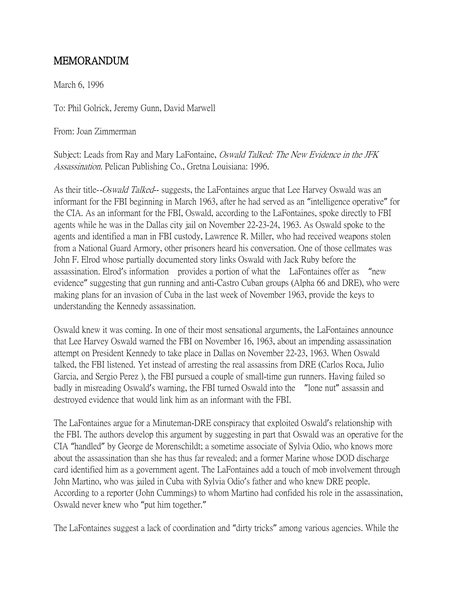# MEMORANDUM

March 6, 1996

To: Phil Golrick, Jeremy Gunn, David Marwell

From: Joan Zimmerman

Subject: Leads from Ray and Mary LaFontaine, *Oswald Talked: The New Evidence in the JFK* Assassination. Pelican Publishing Co., Gretna Louisiana: 1996.

As their title-*-Oswald Talked*-- suggests, the LaFontaines argue that Lee Harvey Oswald was an informant for the FBI beginning in March 1963, after he had served as an "intelligence operative" for the CIA. As an informant for the FBI, Oswald, according to the LaFontaines, spoke directly to FBI agents while he was in the Dallas city jail on November 22-23-24, 1963. As Oswald spoke to the agents and identified a man in FBI custody, Lawrence R. Miller, who had received weapons stolen from a National Guard Armory, other prisoners heard his conversation. One of those cellmates was John F. Elrod whose partially documented story links Oswald with Jack Ruby before the assassination. Elrod's information provides a portion of what the LaFontaines offer as "new evidence" suggesting that gun running and anti-Castro Cuban groups (Alpha 66 and DRE), who were making plans for an invasion of Cuba in the last week of November 1963, provide the keys to understanding the Kennedy assassination.

Oswald knew it was coming. In one of their most sensational arguments, the LaFontaines announce that Lee Harvey Oswald warned the FBI on November 16, 1963, about an impending assassination attempt on President Kennedy to take place in Dallas on November 22-23, 1963. When Oswald talked, the FBI listened. Yet instead of arresting the real assassins from DRE (Carlos Roca, Julio Garcia, and Sergio Perez ), the FBI pursued a couple of small-time gun runners. Having failed so badly in misreading Oswald's warning, the FBI turned Oswald into the "lone nut" assassin and destroyed evidence that would link him as an informant with the FBI.

The LaFontaines argue for a Minuteman-DRE conspiracy that exploited Oswald's relationship with the FBI. The authors develop this argument by suggesting in part that Oswald was an operative for the CIA "handled" by George de Morenschildt; a sometime associate of Sylvia Odio, who knows more about the assassination than she has thus far revealed; and a former Marine whose DOD discharge card identified him as a government agent. The LaFontaines add a touch of mob involvement through John Martino, who was jailed in Cuba with Sylvia Odio's father and who knew DRE people. According to a reporter (John Cummings) to whom Martino had confided his role in the assassination, Oswald never knew who "put him together."

The LaFontaines suggest a lack of coordination and "dirty tricks" among various agencies. While the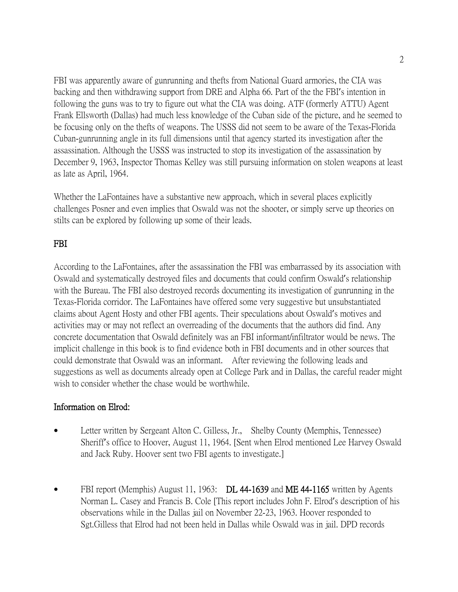FBI was apparently aware of gunrunning and thefts from National Guard armories, the CIA was backing and then withdrawing support from DRE and Alpha 66. Part of the the FBI's intention in following the guns was to try to figure out what the CIA was doing. ATF (formerly ATTU) Agent Frank Ellsworth (Dallas) had much less knowledge of the Cuban side of the picture, and he seemed to be focusing only on the thefts of weapons. The USSS did not seem to be aware of the Texas-Florida Cuban-gunrunning angle in its full dimensions until that agency started its investigation after the assassination. Although the USSS was instructed to stop its investigation of the assassination by December 9, 1963, Inspector Thomas Kelley was still pursuing information on stolen weapons at least as late as April, 1964.

Whether the LaFontaines have a substantive new approach, which in several places explicitly challenges Posner and even implies that Oswald was not the shooter, or simply serve up theories on stilts can be explored by following up some of their leads.

## FBI

According to the LaFontaines, after the assassination the FBI was embarrassed by its association with Oswald and systematically destroyed files and documents that could confirm Oswald's relationship with the Bureau. The FBI also destroyed records documenting its investigation of gunrunning in the Texas-Florida corridor. The LaFontaines have offered some very suggestive but unsubstantiated claims about Agent Hosty and other FBI agents. Their speculations about Oswald's motives and activities may or may not reflect an overreading of the documents that the authors did find. Any concrete documentation that Oswald definitely was an FBI informant/infiltrator would be news. The implicit challenge in this book is to find evidence both in FBI documents and in other sources that could demonstrate that Oswald was an informant. After reviewing the following leads and suggestions as well as documents already open at College Park and in Dallas, the careful reader might wish to consider whether the chase would be worthwhile.

#### Information on Elrod:

- Letter written by Sergeant Alton C. Gilless, Jr., Shelby County (Memphis, Tennessee) Sheriff's office to Hoover, August 11, 1964. [Sent when Elrod mentioned Lee Harvey Oswald and Jack Ruby. Hoover sent two FBI agents to investigate.]
- FBI report (Memphis) August 11, 1963: DL 44-1639 and ME 44-1165 written by Agents Norman L. Casey and Francis B. Cole [This report includes John F. Elrod's description of his observations while in the Dallas jail on November 22-23, 1963. Hoover responded to Sgt.Gilless that Elrod had not been held in Dallas while Oswald was in jail. DPD records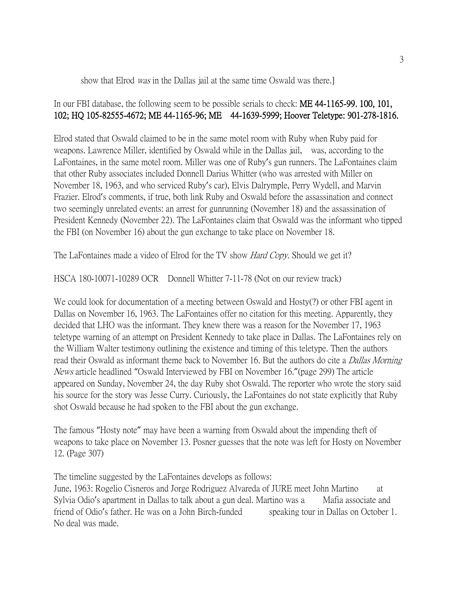#### show that Elrod *was* in the Dallas jail at the same time Oswald was there.

# In our FBI database, the following seem to be possible serials to check: ME 44-1165-99, 100, 101, 102; HQ 105-82555-4672; ME 44-1165-96; ME 44-1639-5999; Hoover Teletype: 901-278-1816.

Elrod stated that Oswald claimed to be in the same motel room with Ruby when Ruby paid for weapons. Lawrence Miller, identified by Oswald while in the Dallas jail, was, according to the LaFontaines, in the same motel room. Miller was one of Ruby's gun runners. The LaFontaines claim that other Ruby associates included Donnell Darius Whitter (who was arrested with Miller on November 18, 1963, and who serviced Ruby's car), Elvis Dalrymple, Perry Wydell, and Marvin Frazier. Elrod's comments, if true, both link Ruby and Oswald before the assassination and connect two seemingly unrelated events: an arrest for gunrunning (November 18) and the assassination of President Kennedy (November 22). The LaFontaines claim that Oswald was the informant who tipped the FBI (on November 16) about the gun exchange to take place on November 18.

The LaFontaines made a video of Elrod for the TV show *Hard Copy*. Should we get it?

HSCA 180-10071-10289 OCR Donnell Whitter 7-11-78 (Not on our review track)

We could look for documentation of a meeting between Oswald and Hosty(?) or other FBI agent in Dallas on November 16, 1963. The LaFontaines offer no citation for this meeting. Apparently, they decided that LHO was the informant. They knew there was a reason for the November 17, 1963 teletype warning of an attempt on President Kennedy to take place in Dallas. The LaFontaines rely on the William Walter testimony outlining the existence and timing of this teletype. Then the authors read their Oswald as informant theme back to November 16. But the authors do cite a *Dallas Morning* News article headlined "Oswald Interviewed by FBI on November 16."(page 299) The article appeared on Sunday, November 24, the day Ruby shot Oswald. The reporter who wrote the story said his source for the story was Jesse Curry. Curiously, the LaFontaines do not state explicitly that Ruby shot Oswald because he had spoken to the FBI about the gun exchange.

The famous "Hosty note" may have been a warning from Oswald about the impending theft of weapons to take place on November 13. Posner guesses that the note was left for Hosty on November 12. (Page 307)

The timeline suggested by the LaFontaines develops as follows:

June, 1963: Rogelio Cisneros and Jorge Rodriguez Alvareda of JURE meet John Martino at Sylvia Odio's apartment in Dallas to talk about a gun deal. Martino was a Mafia associate and friend of Odio's father. He was on a John Birch-funded speaking tour in Dallas on October 1. No deal was made.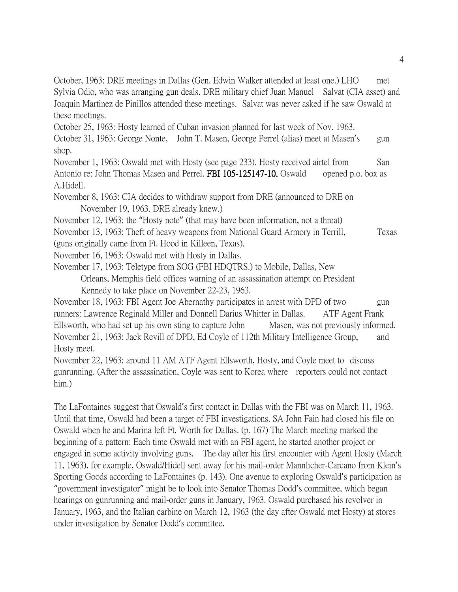October, 1963: DRE meetings in Dallas (Gen. Edwin Walker attended at least one.) LHO met Sylvia Odio, who was arranging gun deals. DRE military chief Juan Manuel Salvat (CIA asset) and Joaquin Martinez de Pinillos attended these meetings. Salvat was never asked if he saw Oswald at these meetings.

October 25, 1963: Hosty learned of Cuban invasion planned for last week of Nov. 1963. October 31, 1963: George Nonte, John T. Masen, George Perrel (alias) meet at Masen's gun

shop.

November 1, 1963: Oswald met with Hosty (see page 233). Hosty received airtel from San Antonio re: John Thomas Masen and Perrel. FBI 105-125147-10. Oswald opened p.o. box as A.Hidell.

November 8, 1963: CIA decides to withdraw support from DRE (announced to DRE on November 19, 1963. DRE already knew.)

November 12, 1963: the "Hosty note" (that may have been information, not a threat)

November 13, 1963: Theft of heavy weapons from National Guard Armory in Terrill, Texas (guns originally came from Ft. Hood in Killeen, Texas).

November 16, 1963: Oswald met with Hosty in Dallas.

November 17, 1963: Teletype from SOG (FBI HDQTRS.) to Mobile, Dallas, New Orleans, Memphis field offices warning of an assassination attempt on President Kennedy to take place on November 22-23, 1963.

November 18, 1963: FBI Agent Joe Abernathy participates in arrest with DPD of two gun runners: Lawrence Reginald Miller and Donnell Darius Whitter in Dallas. ATF Agent Frank Ellsworth, who had set up his own sting to capture John Masen, was not previously informed. November 21, 1963: Jack Revill of DPD, Ed Coyle of 112th Military Intelligence Group, and Hosty meet.

November 22, 1963: around 11 AM ATF Agent Ellsworth, Hosty, and Coyle meet to discuss gunrunning. (After the assassination, Coyle was sent to Korea where reporters could not contact him.)

The LaFontaines suggest that Oswald's first contact in Dallas with the FBI was on March 11, 1963. Until that time, Oswald had been a target of FBI investigations. SA John Fain had closed his file on Oswald when he and Marina left Ft. Worth for Dallas. (p. 167) The March meeting marked the beginning of a pattern: Each time Oswald met with an FBI agent, he started another project or engaged in some activity involving guns. The day after his first encounter with Agent Hosty (March 11, 1963), for example, Oswald/Hidell sent away for his mail-order Mannlicher-Carcano from Klein's Sporting Goods according to LaFontaines (p. 143). One avenue to exploring Oswald's participation as "government investigator" might be to look into Senator Thomas Dodd's committee, which began hearings on gunrunning and mail-order guns in January, 1963. Oswald purchased his revolver in January, 1963, and the Italian carbine on March 12, 1963 (the day after Oswald met Hosty) at stores under investigation by Senator Dodd's committee.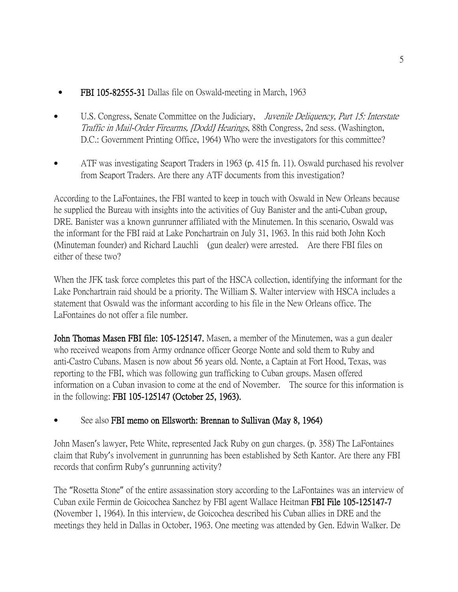- FBI 105-82555-31 Dallas file on Oswald-meeting in March, 1963
- U.S. Congress, Senate Committee on the Judiciary, *Juvenile Deliquency, Part 15: Interstate* Traffic in Mail-Order Firearms, [Dodd] Hearings, 88th Congress, 2nd sess. (Washington, D.C.: Government Printing Office, 1964) Who were the investigators for this committee?
- ATF was investigating Seaport Traders in 1963 (p. 415 fn. 11). Oswald purchased his revolver from Seaport Traders. Are there any ATF documents from this investigation?

According to the LaFontaines, the FBI wanted to keep in touch with Oswald in New Orleans because he supplied the Bureau with insights into the activities of Guy Banister and the anti-Cuban group, DRE. Banister was a known gunrunner affiliated with the Minutemen. In this scenario, Oswald was the informant for the FBI raid at Lake Ponchartrain on July 31, 1963. In this raid both John Koch (Minuteman founder) and Richard Lauchli (gun dealer) were arrested. Are there FBI files on either of these two?

When the JFK task force completes this part of the HSCA collection, identifying the informant for the Lake Ponchartrain raid should be a priority. The William S. Walter interview with HSCA includes a statement that Oswald was the informant according to his file in the New Orleans office. The LaFontaines do not offer a file number.

John Thomas Masen FBI file: 105-125147. Masen, a member of the Minutemen, was a gun dealer who received weapons from Army ordnance officer George Nonte and sold them to Ruby and anti-Castro Cubans. Masen is now about 56 years old. Nonte, a Captain at Fort Hood, Texas, was reporting to the FBI, which was following gun trafficking to Cuban groups. Masen offered information on a Cuban invasion to come at the end of November. The source for this information is in the following: FBI 105-125147 (October 25, 1963).

# • See also FBI memo on Ellsworth: Brennan to Sullivan (May 8, 1964)

John Masen's lawyer, Pete White, represented Jack Ruby on gun charges. (p. 358) The LaFontaines claim that Ruby's involvement in gunrunning has been established by Seth Kantor. Are there any FBI records that confirm Ruby's gunrunning activity?

The "Rosetta Stone" of the entire assassination story according to the LaFontaines was an interview of Cuban exile Fermin de Goicochea Sanchez by FBI agent Wallace Heitman FBI File 105-125147-7 (November 1, 1964). In this interview, de Goicochea described his Cuban allies in DRE and the meetings they held in Dallas in October, 1963. One meeting was attended by Gen. Edwin Walker. De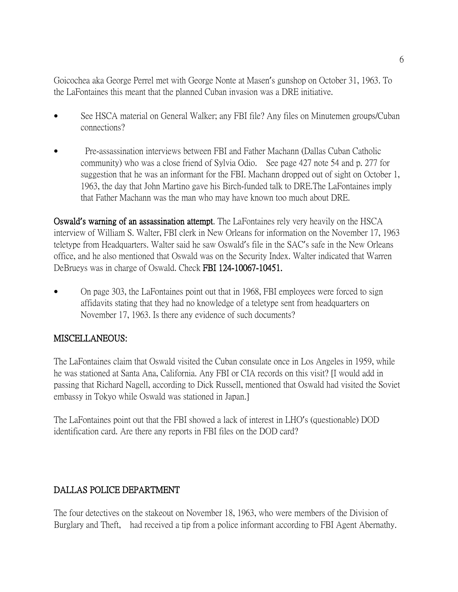Goicochea aka George Perrel met with George Nonte at Masen's gunshop on October 31, 1963. To the LaFontaines this meant that the planned Cuban invasion was a DRE initiative.

- See HSCA material on General Walker; any FBI file? Any files on Minutemen groups/Cuban connections?
- Pre-assassination interviews between FBI and Father Machann (Dallas Cuban Catholic community) who was a close friend of Sylvia Odio. See page 427 note 54 and p. 277 for suggestion that he was an informant for the FBI. Machann dropped out of sight on October 1, 1963, the day that John Martino gave his Birch-funded talk to DRE.The LaFontaines imply that Father Machann was the man who may have known too much about DRE.

Oswald**'**s warning of an assassination attempt. The LaFontaines rely very heavily on the HSCA interview of William S. Walter, FBI clerk in New Orleans for information on the November 17, 1963 teletype from Headquarters. Walter said he saw Oswald's file in the SAC's safe in the New Orleans office, and he also mentioned that Oswald was on the Security Index. Walter indicated that Warren DeBrueys was in charge of Oswald. Check FBI 124-10067-10451.

• On page 303, the LaFontaines point out that in 1968, FBI employees were forced to sign affidavits stating that they had no knowledge of a teletype sent from headquarters on November 17, 1963. Is there any evidence of such documents?

## MISCELLANEOUS:

The LaFontaines claim that Oswald visited the Cuban consulate once in Los Angeles in 1959, while he was stationed at Santa Ana, California. Any FBI or CIA records on this visit? [I would add in passing that Richard Nagell, according to Dick Russell, mentioned that Oswald had visited the Soviet embassy in Tokyo while Oswald was stationed in Japan.]

The LaFontaines point out that the FBI showed a lack of interest in LHO's (questionable) DOD identification card. Are there any reports in FBI files on the DOD card?

## DALLAS POLICE DEPARTMENT

The four detectives on the stakeout on November 18, 1963, who were members of the Division of Burglary and Theft, had received a tip from a police informant according to FBI Agent Abernathy.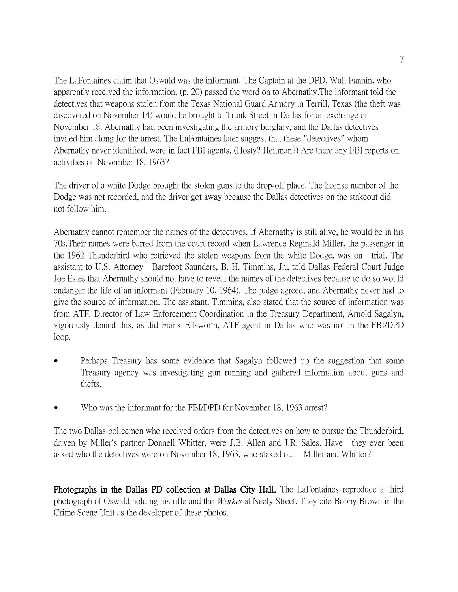The LaFontaines claim that Oswald was the informant. The Captain at the DPD, Walt Fannin, who apparently received the information, (p. 20) passed the word on to Abernathy.The informant told the detectives that weapons stolen from the Texas National Guard Armory in Terrill, Texas (the theft was discovered on November 14) would be brought to Trunk Street in Dallas for an exchange on November 18. Abernathy had been investigating the armory burglary, and the Dallas detectives invited him along for the arrest. The LaFontaines later suggest that these "detectives" whom Abernathy never identified, were in fact FBI agents. (Hosty? Heitman?) Are there any FBI reports on activities on November 18, 1963?

The driver of a white Dodge brought the stolen guns to the drop-off place. The license number of the Dodge was not recorded, and the driver got away because the Dallas detectives on the stakeout did not follow him.

Abernathy cannot remember the names of the detectives. If Abernathy is still alive, he would be in his 70s.Their names were barred from the court record when Lawrence Reginald Miller, the passenger in the 1962 Thunderbird who retrieved the stolen weapons from the white Dodge, was on trial. The assistant to U.S. Attorney Barefoot Saunders, B. H. Timmins, Jr., told Dallas Federal Court Judge Joe Estes that Abernathy should not have to reveal the names of the detectives because to do so would endanger the life of an informant (February 10, 1964). The judge agreed, and Abernathy never had to give the source of information. The assistant, Timmins, also stated that the source of information was from ATF. Director of Law Enforcement Coordination in the Treasury Department, Arnold Sagalyn, vigorously denied this, as did Frank Ellsworth, ATF agent in Dallas who was not in the FBI/DPD loop.

- Perhaps Treasury has some evidence that Sagalyn followed up the suggestion that some Treasury agency was investigating gun running and gathered information about guns and thefts.
- Who was the informant for the FBI/DPD for November 18, 1963 arrest?

The two Dallas policemen who received orders from the detectives on how to pursue the Thunderbird, driven by Miller's partner Donnell Whitter, were J.B. Allen and J.R. Sales. Have they ever been asked who the detectives were on November 18, 1963, who staked out Miller and Whitter?

Photographs in the Dallas PD collection at Dallas City Hall. The LaFontaines reproduce a third photograph of Oswald holding his rifle and the Worker at Neely Street. They cite Bobby Brown in the Crime Scene Unit as the developer of these photos.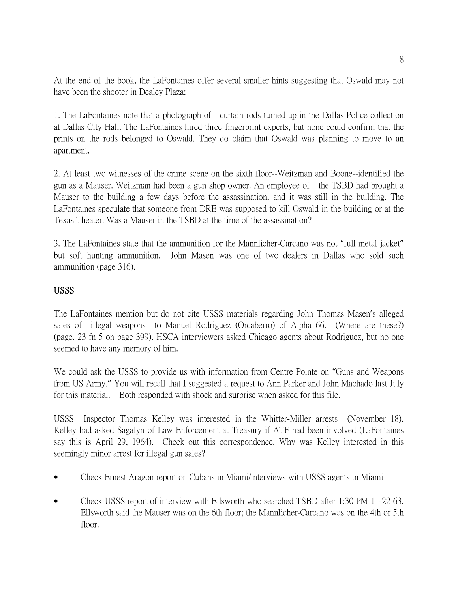At the end of the book, the LaFontaines offer several smaller hints suggesting that Oswald may not have been the shooter in Dealey Plaza:

1. The LaFontaines note that a photograph of curtain rods turned up in the Dallas Police collection at Dallas City Hall. The LaFontaines hired three fingerprint experts, but none could confirm that the prints on the rods belonged to Oswald. They do claim that Oswald was planning to move to an apartment.

2. At least two witnesses of the crime scene on the sixth floor--Weitzman and Boone--identified the gun as a Mauser. Weitzman had been a gun shop owner. An employee of the TSBD had brought a Mauser to the building a few days before the assassination, and it was still in the building. The LaFontaines speculate that someone from DRE was supposed to kill Oswald in the building or at the Texas Theater. Was a Mauser in the TSBD at the time of the assassination?

3. The LaFontaines state that the ammunition for the Mannlicher-Carcano was not "full metal jacket" but soft hunting ammunition. John Masen was one of two dealers in Dallas who sold such ammunition (page 316).

## USSS

The LaFontaines mention but do not cite USSS materials regarding John Thomas Masen's alleged sales of illegal weapons to Manuel Rodriguez (Orcaberro) of Alpha 66. (Where are these?) (page. 23 fn 5 on page 399). HSCA interviewers asked Chicago agents about Rodriguez, but no one seemed to have any memory of him.

We could ask the USSS to provide us with information from Centre Pointe on "Guns and Weapons from US Army." You will recall that I suggested a request to Ann Parker and John Machado last July for this material. Both responded with shock and surprise when asked for this file.

USSS Inspector Thomas Kelley was interested in the Whitter-Miller arrests (November 18). Kelley had asked Sagalyn of Law Enforcement at Treasury if ATF had been involved (LaFontaines say this is April 29, 1964). Check out this correspondence. Why was Kelley interested in this seemingly minor arrest for illegal gun sales?

- Check Ernest Aragon report on Cubans in Miami/interviews with USSS agents in Miami
- Check USSS report of interview with Ellsworth who searched TSBD after 1:30 PM 11-22-63. Ellsworth said the Mauser was on the 6th floor; the Mannlicher-Carcano was on the 4th or 5th floor.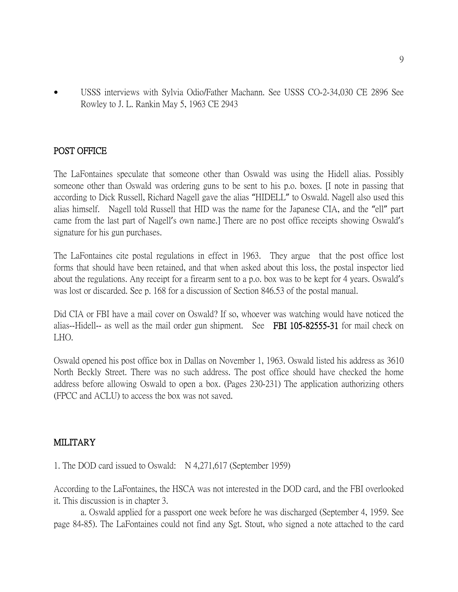• USSS interviews with Sylvia Odio/Father Machann. See USSS CO-2-34,030 CE 2896 See Rowley to J. L. Rankin May 5, 1963 CE 2943

#### POST OFFICE

The LaFontaines speculate that someone other than Oswald was using the Hidell alias. Possibly someone other than Oswald was ordering guns to be sent to his p.o. boxes. [I note in passing that according to Dick Russell, Richard Nagell gave the alias "HIDELL" to Oswald. Nagell also used this alias himself. Nagell told Russell that HID was the name for the Japanese CIA, and the "ell" part came from the last part of Nagell's own name.] There are no post office receipts showing Oswald's signature for his gun purchases.

The LaFontaines cite postal regulations in effect in 1963. They argue that the post office lost forms that should have been retained, and that when asked about this loss, the postal inspector lied about the regulations. Any receipt for a firearm sent to a p.o. box was to be kept for 4 years. Oswald's was lost or discarded. See p. 168 for a discussion of Section 846.53 of the postal manual.

Did CIA or FBI have a mail cover on Oswald? If so, whoever was watching would have noticed the alias--Hidell-- as well as the mail order gun shipment. See FBI 105-82555-31 for mail check on LHO.

Oswald opened his post office box in Dallas on November 1, 1963. Oswald listed his address as 3610 North Beckly Street. There was no such address. The post office should have checked the home address before allowing Oswald to open a box. (Pages 230-231) The application authorizing others (FPCC and ACLU) to access the box was not saved.

#### MILITARY

1. The DOD card issued to Oswald: N 4,271,617 (September 1959)

According to the LaFontaines, the HSCA was not interested in the DOD card, and the FBI overlooked it. This discussion is in chapter 3.

a. Oswald applied for a passport one week before he was discharged (September 4, 1959. See page 84-85). The LaFontaines could not find any Sgt. Stout, who signed a note attached to the card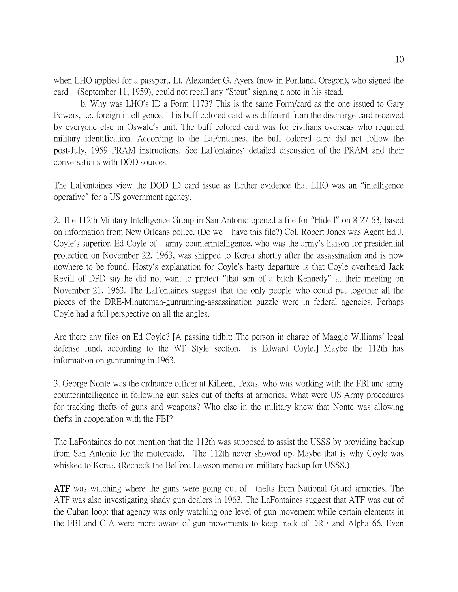when LHO applied for a passport. Lt. Alexander G. Ayers (now in Portland, Oregon), who signed the card (September 11, 1959), could not recall any "Stout" signing a note in his stead.

b. Why was LHO's ID a Form 1173? This is the same Form/card as the one issued to Gary Powers, i.e. foreign intelligence. This buff-colored card was different from the discharge card received by everyone else in Oswald's unit. The buff colored card was for civilians overseas who required military identification. According to the LaFontaines, the buff colored card did not follow the post-July, 1959 PRAM instructions. See LaFontaines' detailed discussion of the PRAM and their conversations with DOD sources.

The LaFontaines view the DOD ID card issue as further evidence that LHO was an "intelligence operative" for a US government agency.

2. The 112th Military Intelligence Group in San Antonio opened a file for "Hidell" on 8-27-63, based on information from New Orleans police. (Do we have this file?) Col. Robert Jones was Agent Ed J. Coyle's superior. Ed Coyle of army counterintelligence, who was the army's liaison for presidential protection on November 22, 1963, was shipped to Korea shortly after the assassination and is now nowhere to be found. Hosty's explanation for Coyle's hasty departure is that Coyle overheard Jack Revill of DPD say he did not want to protect "that son of a bitch Kennedy" at their meeting on November 21, 1963. The LaFontaines suggest that the only people who could put together all the pieces of the DRE-Minuteman-gunrunning-assassination puzzle were in federal agencies. Perhaps Coyle had a full perspective on all the angles.

Are there any files on Ed Coyle? [A passing tidbit: The person in charge of Maggie Williams' legal defense fund, according to the WP Style section, is Edward Coyle.] Maybe the 112th has information on gunrunning in 1963.

3. George Nonte was the ordnance officer at Killeen, Texas, who was working with the FBI and army counterintelligence in following gun sales out of thefts at armories. What were US Army procedures for tracking thefts of guns and weapons? Who else in the military knew that Nonte was allowing thefts in cooperation with the FBI?

The LaFontaines do not mention that the 112th was supposed to assist the USSS by providing backup from San Antonio for the motorcade. The 112th never showed up. Maybe that is why Coyle was whisked to Korea. (Recheck the Belford Lawson memo on military backup for USSS.)

ATF was watching where the guns were going out of thefts from National Guard armories. The ATF was also investigating shady gun dealers in 1963. The LaFontaines suggest that ATF was out of the Cuban loop: that agency was only watching one level of gun movement while certain elements in the FBI and CIA were more aware of gun movements to keep track of DRE and Alpha 66. Even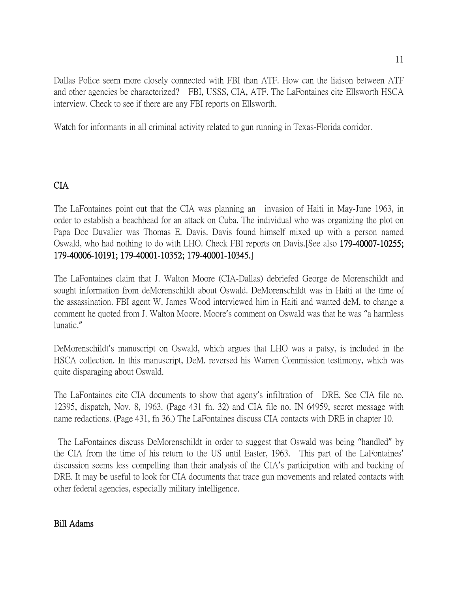Dallas Police seem more closely connected with FBI than ATF. How can the liaison between ATF and other agencies be characterized? FBI, USSS, CIA, ATF. The LaFontaines cite Ellsworth HSCA interview. Check to see if there are any FBI reports on Ellsworth.

Watch for informants in all criminal activity related to gun running in Texas-Florida corridor.

# CIA

The LaFontaines point out that the CIA was planning an invasion of Haiti in May-June 1963, in order to establish a beachhead for an attack on Cuba. The individual who was organizing the plot on Papa Doc Duvalier was Thomas E. Davis. Davis found himself mixed up with a person named Oswald, who had nothing to do with LHO. Check FBI reports on Davis.[See also 179-40007-10255; 179-40006-10191; 179-40001-10352; 179-40001-10345.]

The LaFontaines claim that J. Walton Moore (CIA-Dallas) debriefed George de Morenschildt and sought information from deMorenschildt about Oswald. DeMorenschildt was in Haiti at the time of the assassination. FBI agent W. James Wood interviewed him in Haiti and wanted deM. to change a comment he quoted from J. Walton Moore. Moore's comment on Oswald was that he was "a harmless lunatic."

DeMorenschildt's manuscript on Oswald, which argues that LHO was a patsy, is included in the HSCA collection. In this manuscript, DeM. reversed his Warren Commission testimony, which was quite disparaging about Oswald.

The LaFontaines cite CIA documents to show that ageny's infiltration of DRE. See CIA file no. 12395, dispatch, Nov. 8, 1963. (Page 431 fn. 32) and CIA file no. IN 64959, secret message with name redactions. (Page 431, fn 36.) The LaFontaines discuss CIA contacts with DRE in chapter 10.

The LaFontaines discuss DeMorenschildt in order to suggest that Oswald was being "handled" by the CIA from the time of his return to the US until Easter, 1963. This part of the LaFontaines' discussion seems less compelling than their analysis of the CIA's participation with and backing of DRE. It may be useful to look for CIA documents that trace gun movements and related contacts with other federal agencies, especially military intelligence.

## Bill Adams